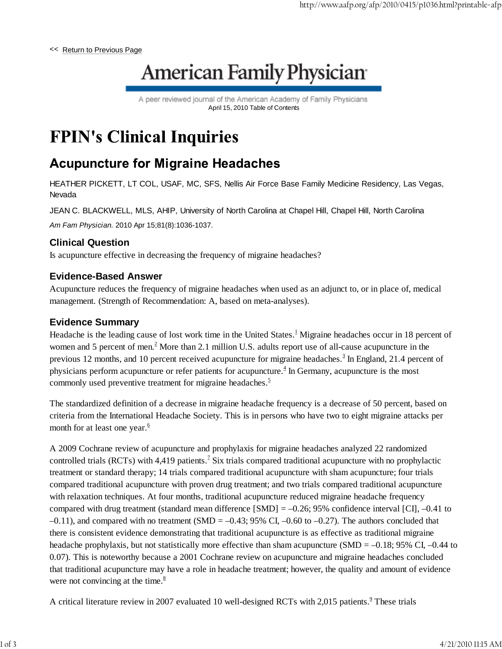<< Return to Previous Page

# **American Family Physician®**

A peer reviewed journal of the American Academy of Family Physicians April 15, 2010 Table of Contents

## **FPIN's Clinical Inquiries**

### **Acupuncture for Migraine Headaches**

HEATHER PICKETT, LT COL, USAF, MC, SFS, Nellis Air Force Base Family Medicine Residency, Las Vegas, Nevada

JEAN C. BLACKWELL, MLS, AHIP, University of North Carolina at Chapel Hill, Chapel Hill, North Carolina

*Am Fam Physician.* 2010 Apr 15;81(8):1036-1037.

#### **Clinical Question**

Is acupuncture effective in decreasing the frequency of migraine headaches?

#### **Evidence-Based Answer**

Acupuncture reduces the frequency of migraine headaches when used as an adjunct to, or in place of, medical management. (Strength of Recommendation: A, based on meta-analyses).

#### **Evidence Summary**

Headache is the leading cause of lost work time in the United States.<sup>1</sup> Migraine headaches occur in 18 percent of women and 5 percent of men. $<sup>2</sup>$  More than 2.1 million U.S. adults report use of all-cause acupuncture in the</sup> previous 12 months, and 10 percent received acupuncture for migraine headaches.<sup>3</sup> In England, 21.4 percent of physicians perform acupuncture or refer patients for acupuncture. $<sup>4</sup>$  In Germany, acupuncture is the most</sup> commonly used preventive treatment for migraine headaches.<sup>5</sup>

The standardized definition of a decrease in migraine headache frequency is a decrease of 50 percent, based on criteria from the International Headache Society. This is in persons who have two to eight migraine attacks per month for at least one year. $6$ 

A 2009 Cochrane review of acupuncture and prophylaxis for migraine headaches analyzed 22 randomized controlled trials (RCTs) with 4,419 patients.<sup>7</sup> Six trials compared traditional acupuncture with no prophylactic treatment or standard therapy; 14 trials compared traditional acupuncture with sham acupuncture; four trials compared traditional acupuncture with proven drug treatment; and two trials compared traditional acupuncture with relaxation techniques. At four months, traditional acupuncture reduced migraine headache frequency compared with drug treatment (standard mean difference [SMD] = –0.26; 95% confidence interval [CI], –0.41 to  $-0.11$ ), and compared with no treatment (SMD =  $-0.43$ ; 95% CI,  $-0.60$  to  $-0.27$ ). The authors concluded that there is consistent evidence demonstrating that traditional acupuncture is as effective as traditional migraine headache prophylaxis, but not statistically more effective than sham acupuncture (SMD = -0.18; 95% CI, -0.44 to 0.07). This is noteworthy because a 2001 Cochrane review on acupuncture and migraine headaches concluded that traditional acupuncture may have a role in headache treatment; however, the quality and amount of evidence were not convincing at the time. $8$ 

A critical literature review in 2007 evaluated 10 well-designed RCTs with 2,015 patients.<sup>9</sup> These trials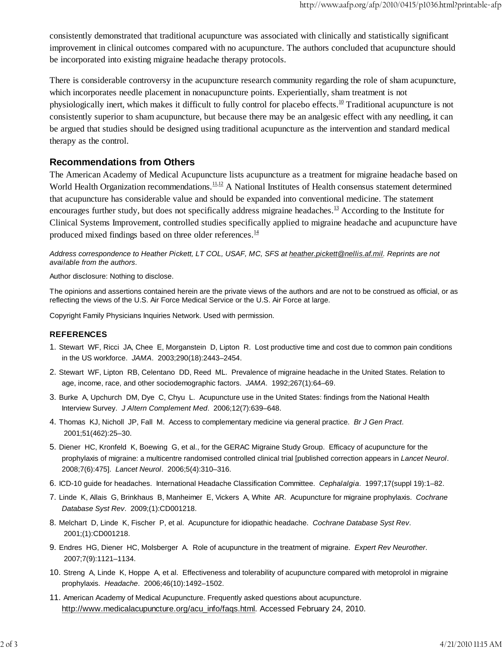consistently demonstrated that traditional acupuncture was associated with clinically and statistically significant improvement in clinical outcomes compared with no acupuncture. The authors concluded that acupuncture should be incorporated into existing migraine headache therapy protocols.

There is considerable controversy in the acupuncture research community regarding the role of sham acupuncture, which incorporates needle placement in nonacupuncture points. Experientially, sham treatment is not physiologically inert, which makes it difficult to fully control for placebo effects.<sup>10</sup> Traditional acupuncture is not consistently superior to sham acupuncture, but because there may be an analgesic effect with any needling, it can be argued that studies should be designed using traditional acupuncture as the intervention and standard medical therapy as the control.

#### **Recommendations from Others**

The American Academy of Medical Acupuncture lists acupuncture as a treatment for migraine headache based on World Health Organization recommendations.  $11,12$  A National Institutes of Health consensus statement determined that acupuncture has considerable value and should be expanded into conventional medicine. The statement encourages further study, but does not specifically address migraine headaches.<sup>13</sup> According to the Institute for Clinical Systems Improvement, controlled studies specifically applied to migraine headache and acupuncture have produced mixed findings based on three older references. $14$ 

*Address correspondence to Heather Pickett, LT COL, USAF, MC, SFS at heather.pickett@nellis.af.mil. Reprints are not available from the authors*.

Author disclosure: Nothing to disclose.

The opinions and assertions contained herein are the private views of the authors and are not to be construed as official, or as reflecting the views of the U.S. Air Force Medical Service or the U.S. Air Force at large.

Copyright Family Physicians Inquiries Network. Used with permission.

#### **REFERENCES**

- 1. Stewart WF, Ricci JA, Chee E, Morganstein D, Lipton R. Lost productive time and cost due to common pain conditions in the US workforce. *JAMA*. 2003;290(18):2443–2454.
- 2. Stewart WF, Lipton RB, Celentano DD, Reed ML. Prevalence of migraine headache in the United States. Relation to age, income, race, and other sociodemographic factors. *JAMA*. 1992;267(1):64–69.
- 3. Burke A, Upchurch DM, Dye C, Chyu L. Acupuncture use in the United States: findings from the National Health Interview Survey. *J Altern Complement Med*. 2006;12(7):639–648.
- 4. Thomas KJ, Nicholl JP, Fall M. Access to complementary medicine via general practice. *Br J Gen Pract*. 2001;51(462):25–30.
- 5. Diener HC, Kronfeld K, Boewing G, et al., for the GERAC Migraine Study Group. Efficacy of acupuncture for the prophylaxis of migraine: a multicentre randomised controlled clinical trial [published correction appears in *Lancet Neurol*. 2008;7(6):475]. *Lancet Neurol*. 2006;5(4):310–316.
- 6. ICD-10 guide for headaches. International Headache Classification Committee. *Cephalalgia*. 1997;17(suppl 19):1–82.
- 7. Linde K, Allais G, Brinkhaus B, Manheimer E, Vickers A, White AR. Acupuncture for migraine prophylaxis. *Cochrane Database Syst Rev*. 2009;(1):CD001218.
- 8. Melchart D, Linde K, Fischer P, et al. Acupuncture for idiopathic headache. *Cochrane Database Syst Rev*. 2001;(1):CD001218.
- 9. Endres HG, Diener HC, Molsberger A. Role of acupuncture in the treatment of migraine. *Expert Rev Neurother*. 2007;7(9):1121–1134.
- 10. Streng A, Linde K, Hoppe A, et al. Effectiveness and tolerability of acupuncture compared with metoprolol in migraine prophylaxis. *Headache*. 2006;46(10):1492–1502.
- 11. American Academy of Medical Acupuncture. Frequently asked questions about acupuncture. http://www.medicalacupuncture.org/acu\_info/faqs.html. Accessed February 24, 2010.